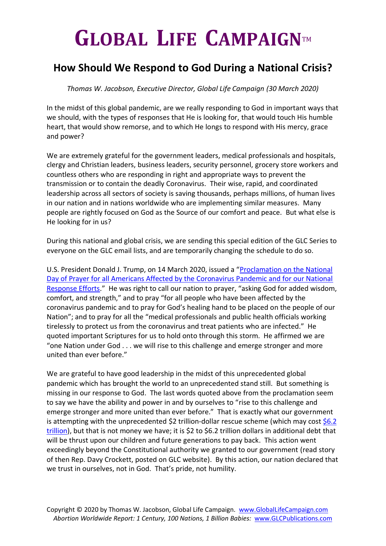## $G$ **LOBAL LIFE CAMPAIGNTM**

## **How Should We Respond to God During a National Crisis?**

*Thomas W. Jacobson, Executive Director, Global Life Campaign (30 March 2020)* 

In the midst of this global pandemic, are we really responding to God in important ways that we should, with the types of responses that He is looking for, that would touch His humble heart, that would show remorse, and to which He longs to respond with His mercy, grace and power?

We are extremely grateful for the government leaders, medical professionals and hospitals, clergy and Christian leaders, business leaders, security personnel, grocery store workers and countless others who are responding in right and appropriate ways to prevent the transmission or to contain the deadly Coronavirus. Their wise, rapid, and coordinated leadership across all sectors of society is saving thousands, perhaps millions, of human lives in our nation and in nations worldwide who are implementing similar measures. Many people are rightly focused on God as the Source of our comfort and peace. But what else is He looking for in us?

During this national and global crisis, we are sending this special edition of the GLC Series to everyone on the GLC email lists, and are temporarily changing the schedule to do so.

U.S. President Donald J. Trump, on 14 March 2020, issued a "[Proclamation on the National](https://www.whitehouse.gov/presidential-actions/proclamation-national-day-prayer-americans-affected-coronavirus-pandemic-national-response-efforts/)  [Day of Prayer for all Americans Affected by the Coronavirus Pandemic and for our National](https://www.whitehouse.gov/presidential-actions/proclamation-national-day-prayer-americans-affected-coronavirus-pandemic-national-response-efforts/)  [Response Efforts](https://www.whitehouse.gov/presidential-actions/proclamation-national-day-prayer-americans-affected-coronavirus-pandemic-national-response-efforts/)." He was right to call our nation to prayer, "asking God for added wisdom, comfort, and strength," and to pray "for all people who have been affected by the coronavirus pandemic and to pray for God's healing hand to be placed on the people of our Nation"; and to pray for all the "medical professionals and public health officials working tirelessly to protect us from the coronavirus and treat patients who are infected." He quoted important Scriptures for us to hold onto through this storm. He affirmed we are "one Nation under God . . . we will rise to this challenge and emerge stronger and more united than ever before."

We are grateful to have good leadership in the midst of this unprecedented global pandemic which has brought the world to an unprecedented stand still. But something is missing in our response to God. The last words quoted above from the proclamation seem to say we have the ability and power in and by ourselves to "rise to this challenge and emerge stronger and more united than ever before." That is exactly what our government is attempting with the unprecedented  $$2$  trillion-dollar rescue scheme (which may cost  $$6.2$ [trillion\)](https://www.whitehouse.gov/briefings-statements/remarks-president-trump-signing-h-r-748-cares-act/), but that is not money we have; it is \$2 to \$6.2 trillion dollars in additional debt that will be thrust upon our children and future generations to pay back. This action went exceedingly beyond the Constitutional authority we granted to our government (read story of then Rep. Davy Crockett, posted on GLC website). By this action, our nation declared that we trust in ourselves, not in God. That's pride, not humility.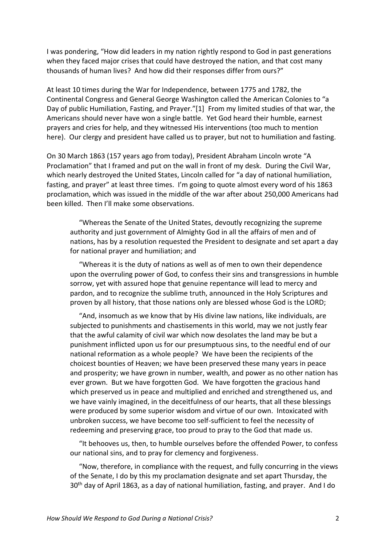I was pondering, "How did leaders in my nation rightly respond to God in past generations when they faced major crises that could have destroyed the nation, and that cost many thousands of human lives? And how did their responses differ from ours?"

At least 10 times during the War for Independence, between 1775 and 1782, the Continental Congress and General George Washington called the American Colonies to "a Day of public Humiliation, Fasting, and Prayer."[1] From my limited studies of that war, the Americans should never have won a single battle. Yet God heard their humble, earnest prayers and cries for help, and they witnessed His interventions (too much to mention here). Our clergy and president have called us to prayer, but not to humiliation and fasting.

On 30 March 1863 (157 years ago from today), President Abraham Lincoln wrote "A Proclamation" that I framed and put on the wall in front of my desk. During the Civil War, which nearly destroyed the United States, Lincoln called for "a day of national humiliation, fasting, and prayer" at least three times. I'm going to quote almost every word of his 1863 proclamation, which was issued in the middle of the war after about 250,000 Americans had been killed. Then I'll make some observations.

 "Whereas the Senate of the United States, devoutly recognizing the supreme authority and just government of Almighty God in all the affairs of men and of nations, has by a resolution requested the President to designate and set apart a day for national prayer and humiliation; and

 "Whereas it is the duty of nations as well as of men to own their dependence upon the overruling power of God, to confess their sins and transgressions in humble sorrow, yet with assured hope that genuine repentance will lead to mercy and pardon, and to recognize the sublime truth, announced in the Holy Scriptures and proven by all history, that those nations only are blessed whose God is the LORD;

 "And, insomuch as we know that by His divine law nations, like individuals, are subjected to punishments and chastisements in this world, may we not justly fear that the awful calamity of civil war which now desolates the land may be but a punishment inflicted upon us for our presumptuous sins, to the needful end of our national reformation as a whole people? We have been the recipients of the choicest bounties of Heaven; we have been preserved these many years in peace and prosperity; we have grown in number, wealth, and power as no other nation has ever grown. But we have forgotten God. We have forgotten the gracious hand which preserved us in peace and multiplied and enriched and strengthened us, and we have vainly imagined, in the deceitfulness of our hearts, that all these blessings were produced by some superior wisdom and virtue of our own. Intoxicated with unbroken success, we have become too self-sufficient to feel the necessity of redeeming and preserving grace, too proud to pray to the God that made us.

 "It behooves us, then, to humble ourselves before the offended Power, to confess our national sins, and to pray for clemency and forgiveness.

 "Now, therefore, in compliance with the request, and fully concurring in the views of the Senate, I do by this my proclamation designate and set apart Thursday, the 30<sup>th</sup> day of April 1863, as a day of national humiliation, fasting, and prayer. And I do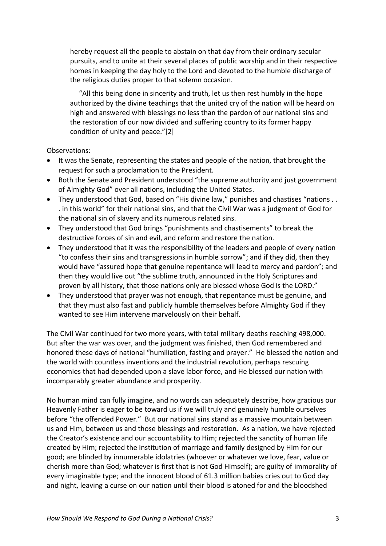hereby request all the people to abstain on that day from their ordinary secular pursuits, and to unite at their several places of public worship and in their respective homes in keeping the day holy to the Lord and devoted to the humble discharge of the religious duties proper to that solemn occasion.

 "All this being done in sincerity and truth, let us then rest humbly in the hope authorized by the divine teachings that the united cry of the nation will be heard on high and answered with blessings no less than the pardon of our national sins and the restoration of our now divided and suffering country to its former happy condition of unity and peace."[2]

Observations:

- It was the Senate, representing the states and people of the nation, that brought the request for such a proclamation to the President.
- Both the Senate and President understood "the supreme authority and just government of Almighty God" over all nations, including the United States.
- They understood that God, based on "His divine law," punishes and chastises "nations . . . in this world" for their national sins, and that the Civil War was a judgment of God for the national sin of slavery and its numerous related sins.
- They understood that God brings "punishments and chastisements" to break the destructive forces of sin and evil, and reform and restore the nation.
- They understood that it was the responsibility of the leaders and people of every nation "to confess their sins and transgressions in humble sorrow"; and if they did, then they would have "assured hope that genuine repentance will lead to mercy and pardon"; and then they would live out "the sublime truth, announced in the Holy Scriptures and proven by all history, that those nations only are blessed whose God is the LORD."
- They understood that prayer was not enough, that repentance must be genuine, and that they must also fast and publicly humble themselves before Almighty God if they wanted to see Him intervene marvelously on their behalf.

The Civil War continued for two more years, with total military deaths reaching 498,000. But after the war was over, and the judgment was finished, then God remembered and honored these days of national "humiliation, fasting and prayer." He blessed the nation and the world with countless inventions and the industrial revolution, perhaps rescuing economies that had depended upon a slave labor force, and He blessed our nation with incomparably greater abundance and prosperity.

No human mind can fully imagine, and no words can adequately describe, how gracious our Heavenly Father is eager to be toward us if we will truly and genuinely humble ourselves before "the offended Power." But our national sins stand as a massive mountain between us and Him, between us and those blessings and restoration. As a nation, we have rejected the Creator's existence and our accountability to Him; rejected the sanctity of human life created by Him; rejected the institution of marriage and family designed by Him for our good; are blinded by innumerable idolatries (whoever or whatever we love, fear, value or cherish more than God; whatever is first that is not God Himself); are guilty of immorality of every imaginable type; and the innocent blood of 61.3 million babies cries out to God day and night, leaving a curse on our nation until their blood is atoned for and the bloodshed